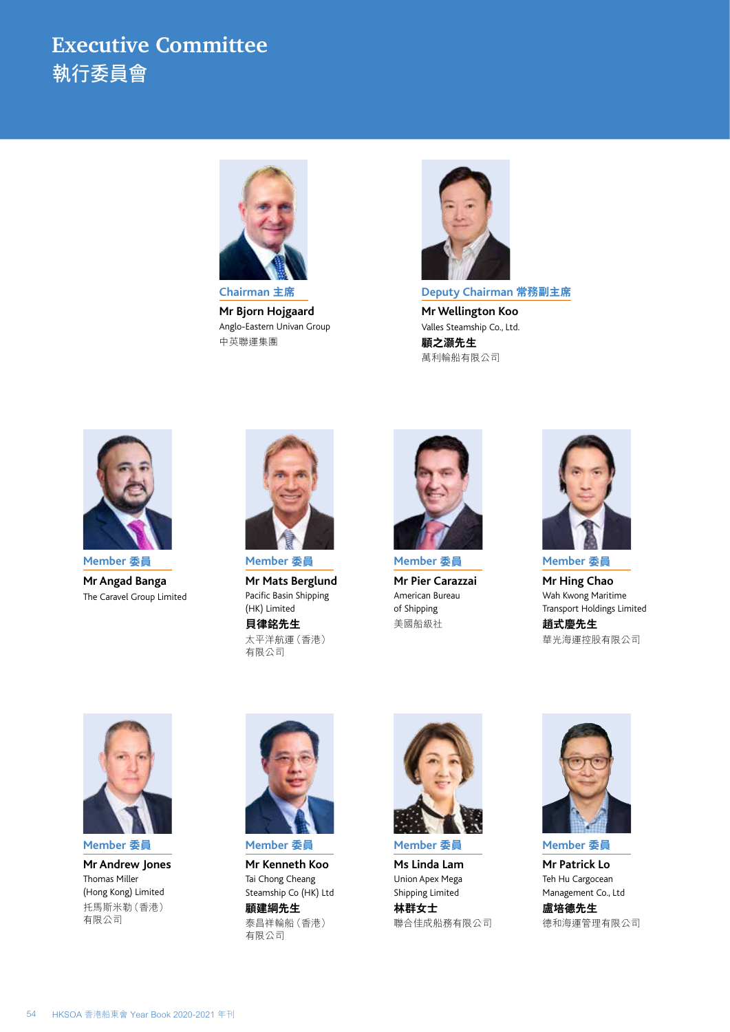## **Executive Committee**  執行委員會



**Mr Bjorn Hojgaard** Anglo-Eastern Univan Group 中英聯運集團



**Deputy Chairman 常務副主席 Mr Wellington Koo** Valles Steamship Co., Ltd. **顧之灝先生** 萬利輪船有限公司



**Member 委員 Mr Angad Banga** The Caravel Group Limited



**Mr Mats Berglund** Pacific Basin Shipping (HK) Limited **貝律銘先生**

太平洋航運(香港) 有限公司



**Member 委員 Mr Pier Carazzai** American Bureau of Shipping 美國船級社



**Member 委員 Mr Hing Chao** Wah Kwong Maritime Transport Holdings Limited

**趙式慶先生** 華光海運控股有限公司



**Member 委員 Mr Andrew Jones** Thomas Miller (Hong Kong) Limited 托馬斯米勒(香港) 有限公司



**Member 委員**

**Mr Kenneth Koo** Tai Chong Cheang Steamship Co (HK) Ltd **顧建綱先生** 泰昌祥輪船(香港) 有限公司



**Member 委員**

**Ms Linda Lam** Union Apex Mega Shipping Limited

**林群女士** 聯合佳成船務有限公司



**Member 委員**

**Mr Patrick Lo** Teh Hu Cargocean Management Co., Ltd **盧培德先生** 德和海運管理有限公司